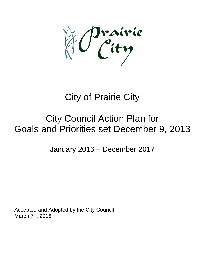Irairie<br>City

## City of Prairie City

## City Council Action Plan for Goals and Priorities set December 9, 2013

January 2016 – December 2017

Accepted and Adopted by the City Council March 7<sup>th</sup>, 2016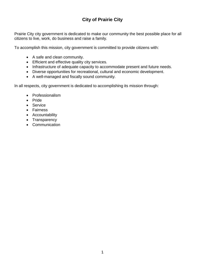## **City of Prairie City**

Prairie City city government is dedicated to make our community the best possible place for all citizens to live, work, do business and raise a family.

To accomplish this mission, city government is committed to provide citizens with:

- A safe and clean community.
- Efficient and effective quality city services.
- Infrastructure of adequate capacity to accommodate present and future needs.
- Diverse opportunities for recreational, cultural and economic development.
- A well-managed and fiscally sound community.

In all respects, city government is dedicated to accomplishing its mission through:

- Professionalism
- Pride
- Service
- Fairness
- Accountability
- Transparency
- Communication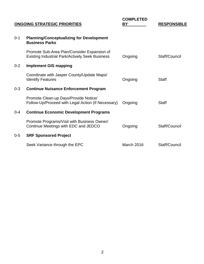| <b>ONGOING STRATEGIC PRIORITIES</b> |                                                                                                       | <b>COMPLETED</b><br>BY | <b>RESPONSIBLE</b> |
|-------------------------------------|-------------------------------------------------------------------------------------------------------|------------------------|--------------------|
| $0 - 1$                             | <b>Planning/Conceptualizing for Development</b><br><b>Business Parks</b>                              |                        |                    |
|                                     | Promote Sub-Area Plan/Consider Expansion of<br><b>Existing Industrial Park/Actively Seek Business</b> | Ongoing                | Staff/Council      |
| $0 - 2$                             | <b>Implement GIS mapping</b>                                                                          |                        |                    |
|                                     | Coordinate with Jasper County/Update Maps/<br><b>Identify Features</b>                                | Ongoing                | <b>Staff</b>       |
| $0 - 3$                             | <b>Continue Nuisance Enforcement Program</b>                                                          |                        |                    |
|                                     | Promote Clean-up Days/Provide Notice/<br>Follow-Up/Proceed with Legal Action (If Necessary)           | Ongoing                | <b>Staff</b>       |
| $0 - 4$                             | <b>Continue Economic Development Programs</b>                                                         |                        |                    |
|                                     | Promote Programs/Visit with Business Owner/<br>Continue Meetings with EDC and JEDCO                   | Ongoing                | Staff/Council      |
| $0 - 5$                             | <b>SRF Sponsored Project</b>                                                                          |                        |                    |
|                                     | Seek Variance through the EPC                                                                         | March 2016             | Staff/Council      |